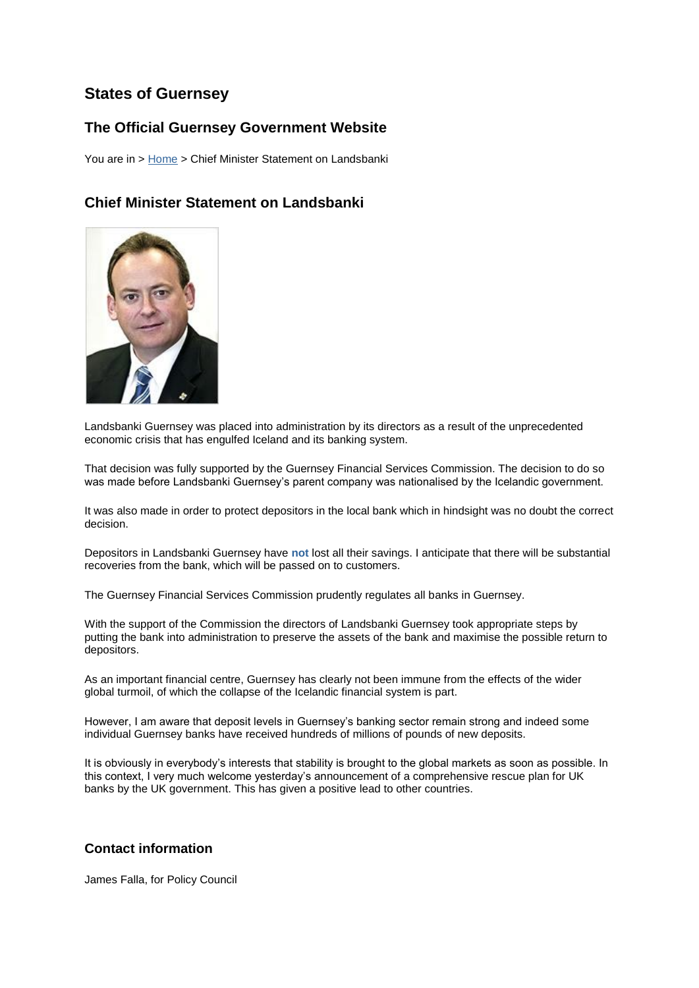## **States of Guernsey**

## **The Official Guernsey Government Website**

You are in > [Home](http://www.gov.gg/ccm/portal/) > Chief Minister Statement on Landsbanki

## **Chief Minister Statement on Landsbanki**



Landsbanki Guernsey was placed into administration by its directors as a result of the unprecedented economic crisis that has engulfed Iceland and its banking system.

That decision was fully supported by the Guernsey Financial Services Commission. The decision to do so was made before Landsbanki Guernsey's parent company was nationalised by the Icelandic government.

It was also made in order to protect depositors in the local bank which in hindsight was no doubt the correct decision.

Depositors in Landsbanki Guernsey have **not** lost all their savings. I anticipate that there will be substantial recoveries from the bank, which will be passed on to customers.

The Guernsey Financial Services Commission prudently regulates all banks in Guernsey.

With the support of the Commission the directors of Landsbanki Guernsey took appropriate steps by putting the bank into administration to preserve the assets of the bank and maximise the possible return to depositors.

As an important financial centre, Guernsey has clearly not been immune from the effects of the wider global turmoil, of which the collapse of the Icelandic financial system is part.

However, I am aware that deposit levels in Guernsey's banking sector remain strong and indeed some individual Guernsey banks have received hundreds of millions of pounds of new deposits.

It is obviously in everybody's interests that stability is brought to the global markets as soon as possible. In this context, I very much welcome yesterday's announcement of a comprehensive rescue plan for UK banks by the UK government. This has given a positive lead to other countries.

## **Contact information**

James Falla, for Policy Council